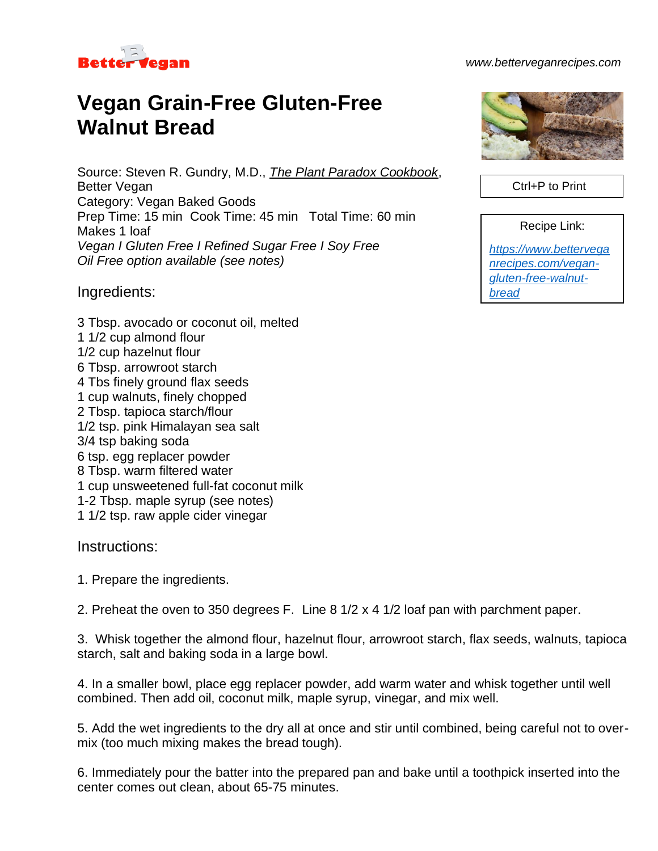

## *www.betterveganrecipes.com*

## **Vegan Grain-Free Gluten-Free Walnut Bread**

Source: Steven R. Gundry, M.D., *The Plant Paradox Cookbook*, Better Vegan Category: Vegan Baked Goods Prep Time: 15 min Cook Time: 45 min Total Time: 60 min Makes 1 loaf *Vegan I Gluten Free I Refined Sugar Free I Soy Free Oil Free option available (see notes)*

Ingredients:

3 Tbsp. avocado or coconut oil, melted 1 1/2 cup almond flour 1/2 cup hazelnut flour 6 Tbsp. arrowroot starch 4 Tbs finely ground flax seeds 1 cup walnuts, finely chopped 2 Tbsp. tapioca starch/flour 1/2 tsp. pink Himalayan sea salt 3/4 tsp baking soda 6 tsp. egg replacer powder 8 Tbsp. warm filtered water 1 cup unsweetened full-fat coconut milk 1-2 Tbsp. maple syrup (see notes) 1 1/2 tsp. raw apple cider vinegar

## Instructions:

1. Prepare the ingredients.

2. Preheat the oven to 350 degrees F. Line 8 1/2 x 4 1/2 loaf pan with parchment paper.

3. Whisk together the almond flour, hazelnut flour, arrowroot starch, flax seeds, walnuts, tapioca starch, salt and baking soda in a large bowl.

4. In a smaller bowl, place egg replacer powder, add warm water and whisk together until well combined. Then add oil, coconut milk, maple syrup, vinegar, and mix well.

5. Add the wet ingredients to the dry all at once and stir until combined, being careful not to overmix (too much mixing makes the bread tough).

6. Immediately pour the batter into the prepared pan and bake until a toothpick inserted into the center comes out clean, about 65-75 minutes.



Ctrl+P to Print

Recipe Link:

*[https://www.bettervega](https://www.betterveganrecipes.com/vegan-gluten-free-walnut-bread) [nrecipes.com/vegan](https://www.betterveganrecipes.com/vegan-gluten-free-walnut-bread)[gluten-free-walnut](https://www.betterveganrecipes.com/vegan-gluten-free-walnut-bread)[bread](https://www.betterveganrecipes.com/vegan-gluten-free-walnut-bread)*